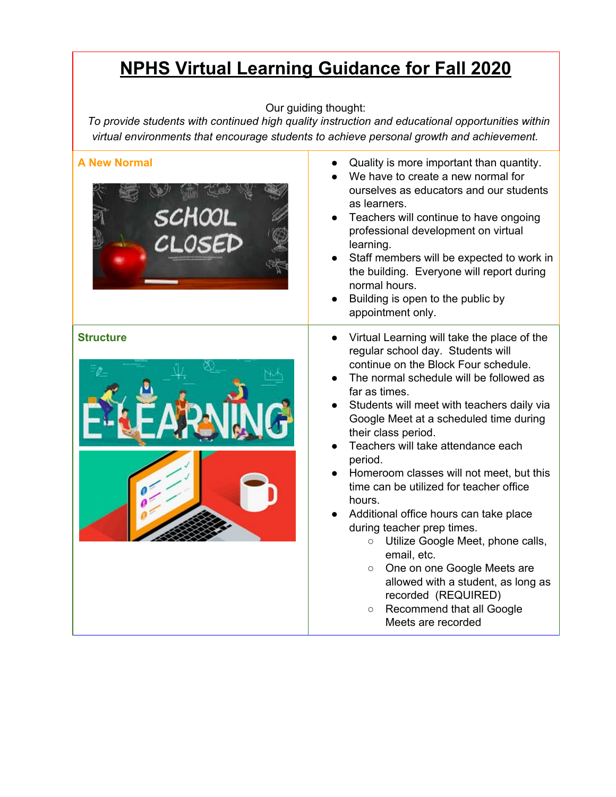## **NPHS Virtual Learning Guidance for Fall 2020**

## Our guiding thought:

*To provide students with continued high quality instruction and educational opportunities within virtual environments that encourage students to achieve personal growth and achievement.*

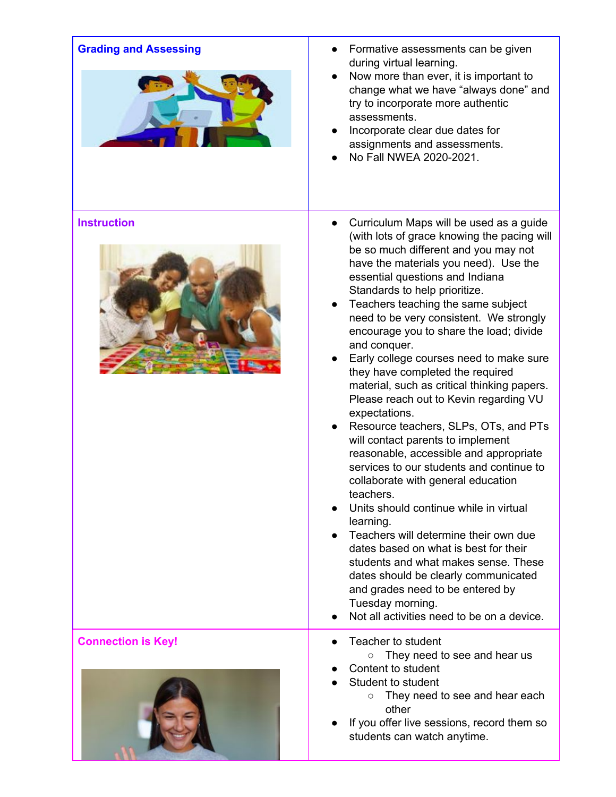| <b>Grading and Assessing</b> | Formative assessments can be given<br>during virtual learning.<br>Now more than ever, it is important to<br>$\bullet$<br>change what we have "always done" and<br>try to incorporate more authentic<br>assessments.<br>Incorporate clear due dates for<br>assignments and assessments.<br>No Fall NWEA 2020-2021.                                                                                                                                                                                                                                                                                                                                                                                                                                                                                                                                                                                                                                                                                                                                                                                                                                                |
|------------------------------|------------------------------------------------------------------------------------------------------------------------------------------------------------------------------------------------------------------------------------------------------------------------------------------------------------------------------------------------------------------------------------------------------------------------------------------------------------------------------------------------------------------------------------------------------------------------------------------------------------------------------------------------------------------------------------------------------------------------------------------------------------------------------------------------------------------------------------------------------------------------------------------------------------------------------------------------------------------------------------------------------------------------------------------------------------------------------------------------------------------------------------------------------------------|
| <b>Instruction</b>           | Curriculum Maps will be used as a guide<br>$\bullet$<br>(with lots of grace knowing the pacing will<br>be so much different and you may not<br>have the materials you need). Use the<br>essential questions and Indiana<br>Standards to help prioritize.<br>Teachers teaching the same subject<br>need to be very consistent. We strongly<br>encourage you to share the load; divide<br>and conquer.<br>Early college courses need to make sure<br>they have completed the required<br>material, such as critical thinking papers.<br>Please reach out to Kevin regarding VU<br>expectations.<br>Resource teachers, SLPs, OTs, and PTs<br>will contact parents to implement<br>reasonable, accessible and appropriate<br>services to our students and continue to<br>collaborate with general education<br>teachers.<br>Units should continue while in virtual<br>learning.<br>Teachers will determine their own due<br>$\bullet$<br>dates based on what is best for their<br>students and what makes sense. These<br>dates should be clearly communicated<br>and grades need to be entered by<br>Tuesday morning.<br>Not all activities need to be on a device. |
| <b>Connection is Key!</b>    | Teacher to student<br>They need to see and hear us<br>$\circ$                                                                                                                                                                                                                                                                                                                                                                                                                                                                                                                                                                                                                                                                                                                                                                                                                                                                                                                                                                                                                                                                                                    |
|                              | Content to student<br>Student to student<br>They need to see and hear each<br>$\circ$<br>other<br>If you offer live sessions, record them so<br>students can watch anytime.                                                                                                                                                                                                                                                                                                                                                                                                                                                                                                                                                                                                                                                                                                                                                                                                                                                                                                                                                                                      |